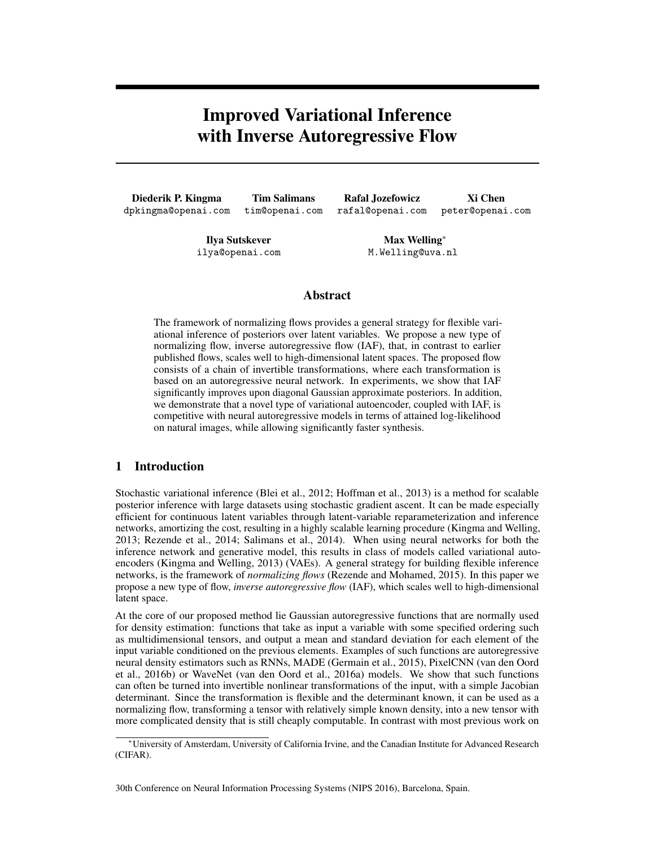# <span id="page-0-0"></span>Improved Variational Inference with Inverse Autoregressive Flow

Diederik P. Kingma dpkingma@openai.com

Tim Salimans tim@openai.com

Rafal Jozefowicz rafal@openai.com

Xi Chen peter@openai.com

Ilya Sutskever ilya@openai.com

Max Welling<sup>\*</sup> M.Welling@uva.nl

# Abstract

The framework of normalizing flows provides a general strategy for flexible variational inference of posteriors over latent variables. We propose a new type of normalizing flow, inverse autoregressive flow (IAF), that, in contrast to earlier published flows, scales well to high-dimensional latent spaces. The proposed flow consists of a chain of invertible transformations, where each transformation is based on an autoregressive neural network. In experiments, we show that IAF significantly improves upon diagonal Gaussian approximate posteriors. In addition, we demonstrate that a novel type of variational autoencoder, coupled with IAF, is competitive with neural autoregressive models in terms of attained log-likelihood on natural images, while allowing significantly faster synthesis.

# 1 Introduction

Stochastic variational inference [\(Blei et al., 2012;](#page-7-0) [Hoffman et al., 2013\)](#page-8-0) is a method for scalable posterior inference with large datasets using stochastic gradient ascent. It can be made especially efficient for continuous latent variables through latent-variable reparameterization and inference networks, amortizing the cost, resulting in a highly scalable learning procedure [\(Kingma and Welling,](#page-8-1) [2013;](#page-8-1) [Rezende et al., 2014;](#page-8-2) [Salimans et al., 2014\)](#page-8-3). When using neural networks for both the inference network and generative model, this results in class of models called variational autoencoders [\(Kingma and Welling, 2013\)](#page-8-1) (VAEs). A general strategy for building flexible inference networks, is the framework of *normalizing flows* [\(Rezende and Mohamed, 2015\)](#page-8-4). In this paper we propose a new type of flow, *inverse autoregressive flow* (IAF), which scales well to high-dimensional latent space.

<span id="page-0-1"></span>At the core of our proposed method lie Gaussian autoregressive functions that are normally used for density estimation: functions that take as input a variable with some specified ordering such as multidimensional tensors, and output a mean and standard deviation for each element of the input variable conditioned on the previous elements. Examples of such functions are autoregressive neural density estimators such as RNNs, MADE [\(Germain et al., 2015\)](#page-8-5), PixelCNN [\(van den Oord](#page-8-6) [et al., 2016b\)](#page-8-6) or WaveNet [\(van den Oord et al., 2016a\)](#page-8-7) models. We show that such functions can often be turned into invertible nonlinear transformations of the input, with a simple Jacobian determinant. Since the transformation is flexible and the determinant known, it can be used as a normalizing flow, transforming a tensor with relatively simple known density, into a new tensor with more complicated density that is still cheaply computable. In contrast with most previous work on

<sup>⇤</sup>University of Amsterdam, University of California Irvine, and the Canadian Institute for Advanced Research (CIFAR).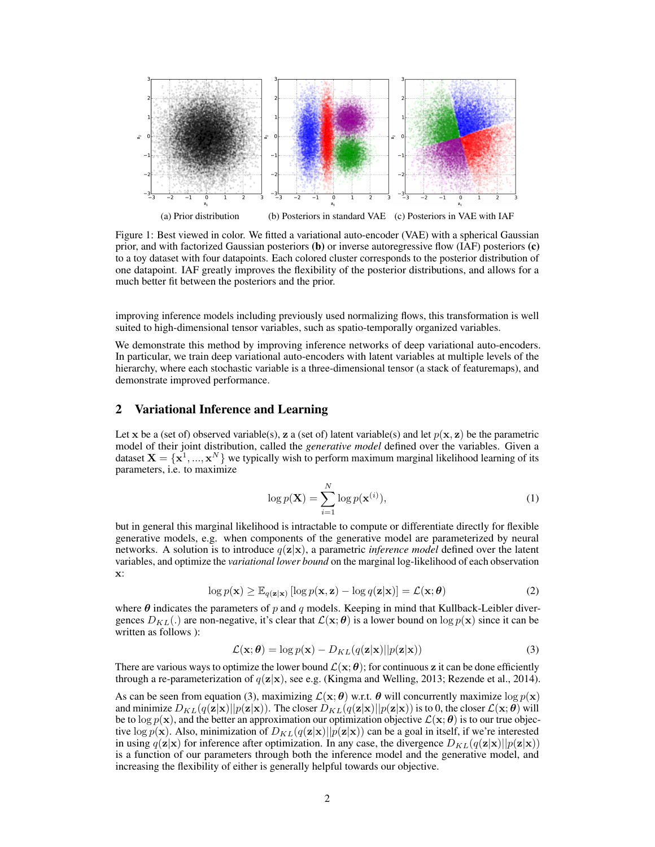

Figure 1: Best viewed in color. We fitted a variational auto-encoder (VAE) with a spherical Gaussian prior, and with factorized Gaussian posteriors (b) or inverse autoregressive flow (IAF) posteriors (c) to a toy dataset with four datapoints. Each colored cluster corresponds to the posterior distribution of one datapoint. IAF greatly improves the flexibility of the posterior distributions, and allows for a much better fit between the posteriors and the prior.

improving inference models including previously used normalizing flows, this transformation is well suited to high-dimensional tensor variables, such as spatio-temporally organized variables.

We demonstrate this method by improving inference networks of deep variational auto-encoders. In particular, we train deep variational auto-encoders with latent variables at multiple levels of the hierarchy, where each stochastic variable is a three-dimensional tensor (a stack of featuremaps), and demonstrate improved performance.

### 2 Variational Inference and Learning

Let x be a (set of) observed variable(s), z a (set of) latent variable(s) and let  $p(x, z)$  be the parametric model of their joint distribution, called the *generative model* defined over the variables. Given a dataset  $X = \{x^1, ..., x^N\}$  we typically wish to perform maximum marginal likelihood learning of its parameters, i.e. to maximize

$$
\log p(\mathbf{X}) = \sum_{i=1}^{N} \log p(\mathbf{x}^{(i)}),\tag{1}
$$

but in general this marginal likelihood is intractable to compute or differentiate directly for flexible generative models, e.g. when components of the generative model are parameterized by neural networks. A solution is to introduce  $q(\mathbf{z}|\mathbf{x})$ , a parametric *inference model* defined over the latent variables, and optimize the *variational lower bound* on the marginal log-likelihood of each observation x:

$$
\log p(\mathbf{x}) \ge \mathbb{E}_{q(\mathbf{z}|\mathbf{x})} [\log p(\mathbf{x}, \mathbf{z}) - \log q(\mathbf{z}|\mathbf{x})] = \mathcal{L}(\mathbf{x}; \boldsymbol{\theta})
$$
(2)

where  $\theta$  indicates the parameters of p and q models. Keeping in mind that Kullback-Leibler divergences  $D_{KL}(\cdot)$  are non-negative, it's clear that  $\mathcal{L}(\mathbf{x}; \theta)$  is a lower bound on  $\log p(\mathbf{x})$  since it can be written as follows ):

<span id="page-1-0"></span>
$$
\mathcal{L}(\mathbf{x}; \boldsymbol{\theta}) = \log p(\mathbf{x}) - D_{KL}(q(\mathbf{z}|\mathbf{x})||p(\mathbf{z}|\mathbf{x}))
$$
\n(3)

There are various ways to optimize the lower bound  $\mathcal{L}(x; \theta)$ ; for continuous z it can be done efficiently through a re-parameterization of  $q(\mathbf{z}|\mathbf{x})$ , see e.g. [\(Kingma and Welling, 2013;](#page-8-1) [Rezende et al., 2014\)](#page-8-2).

As can be seen from equation [\(3\)](#page-1-0), maximizing  $\mathcal{L}(\mathbf{x}; \theta)$  w.r.t.  $\theta$  will concurrently maximize  $\log p(\mathbf{x})$ and minimize  $D_{KL}(q(\mathbf{z}|\mathbf{x})||p(\mathbf{z}|\mathbf{x}))$ . The closer  $D_{KL}(q(\mathbf{z}|\mathbf{x})||p(\mathbf{z}|\mathbf{x}))$  is to 0, the closer  $\mathcal{L}(\mathbf{x}; \theta)$  will be to  $\log p(x)$ , and the better an approximation our optimization objective  $\mathcal{L}(x;\theta)$  is to our true objective  $\log p(\mathbf{x})$ . Also, minimization of  $D_{KL}(q(\mathbf{z}|\mathbf{x})||p(\mathbf{z}|\mathbf{x}))$  can be a goal in itself, if we're interested in using  $q(\mathbf{z}|\mathbf{x})$  for inference after optimization. In any case, the divergence  $D_{KL}(q(\mathbf{z}|\mathbf{x})||p(\mathbf{z}|\mathbf{x}))$ is a function of our parameters through both the inference model and the generative model, and increasing the flexibility of either is generally helpful towards our objective.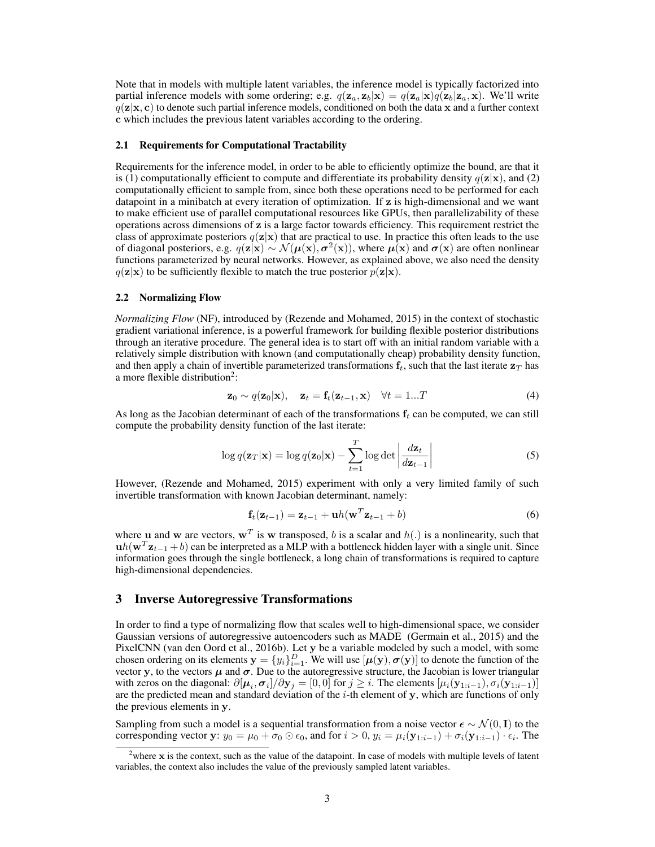Note that in models with multiple latent variables, the inference model is typically factorized into partial inference models with some ordering; e.g.  $q(\mathbf{z}_a, \mathbf{z}_b | \mathbf{x}) = q(\mathbf{z}_a | \mathbf{x}) q(\mathbf{z}_b | \mathbf{z}_a, \mathbf{x})$ . We'll write  $q(\mathbf{z}|\mathbf{x}, \mathbf{c})$  to denote such partial inference models, conditioned on both the data x and a further context c which includes the previous latent variables according to the ordering.

#### 2.1 Requirements for Computational Tractability

Requirements for the inference model, in order to be able to efficiently optimize the bound, are that it is (1) computationally efficient to compute and differentiate its probability density  $q(z|x)$ , and (2) computationally efficient to sample from, since both these operations need to be performed for each datapoint in a minibatch at every iteration of optimization. If z is high-dimensional and we want to make efficient use of parallel computational resources like GPUs, then parallelizability of these operations across dimensions of z is a large factor towards efficiency. This requirement restrict the class of approximate posteriors  $q(z|x)$  that are practical to use. In practice this often leads to the use of diagonal posteriors, e.g.  $q(\mathbf{z}|\mathbf{x}) \sim \mathcal{N}(\boldsymbol{\mu}(\mathbf{x}), \boldsymbol{\sigma}^2(\mathbf{x}))$ , where  $\boldsymbol{\mu}(\mathbf{x})$  and  $\boldsymbol{\sigma}(\mathbf{x})$  are often nonlinear functions parameterized by neural networks. However, as explained above, we also need the density  $q(\mathbf{z}|\mathbf{x})$  to be sufficiently flexible to match the true posterior  $p(\mathbf{z}|\mathbf{x})$ .

#### 2.2 Normalizing Flow

*Normalizing Flow* (NF), introduced by [\(Rezende and Mohamed, 2015\)](#page-8-4) in the context of stochastic gradient variational inference, is a powerful framework for building flexible posterior distributions through an iterative procedure. The general idea is to start off with an initial random variable with a relatively simple distribution with known (and computationally cheap) probability density function, and then apply a chain of invertible parameterized transformations  $f_t$ , such that the last iterate  $z_T$  has a more flexible distribution<sup>2</sup>:

$$
\mathbf{z}_0 \sim q(\mathbf{z}_0|\mathbf{x}), \quad \mathbf{z}_t = \mathbf{f}_t(\mathbf{z}_{t-1}, \mathbf{x}) \quad \forall t = 1...T
$$
 (4)

As long as the Jacobian determinant of each of the transformations  $f_t$  can be computed, we can still compute the probability density function of the last iterate:

$$
\log q(\mathbf{z}_T|\mathbf{x}) = \log q(\mathbf{z}_0|\mathbf{x}) - \sum_{t=1}^T \log \det \left| \frac{d\mathbf{z}_t}{d\mathbf{z}_{t-1}} \right| \tag{5}
$$

However, [\(Rezende and Mohamed, 2015\)](#page-8-4) experiment with only a very limited family of such invertible transformation with known Jacobian determinant, namely:

<span id="page-2-1"></span>
$$
\mathbf{f}_t(\mathbf{z}_{t-1}) = \mathbf{z}_{t-1} + \mathbf{u}h(\mathbf{w}^T \mathbf{z}_{t-1} + b)
$$
 (6)

where **u** and **w** are vectors,  $w^T$  is **w** transposed, *b* is a scalar and  $h(.)$  is a nonlinearity, such that  $uh(\mathbf{w}^T \mathbf{z}_{t-1} + b)$  can be interpreted as a MLP with a bottleneck hidden layer with a single unit. Since information goes through the single bottleneck, a long chain of transformations is required to capture high-dimensional dependencies.

# 3 Inverse Autoregressive Transformations

In order to find a type of normalizing flow that scales well to high-dimensional space, we consider Gaussian versions of autoregressive autoencoders such as MADE [\(Germain et al., 2015\)](#page-8-5) and the PixelCNN [\(van den Oord et al., 2016b\)](#page-8-6). Let y be a variable modeled by such a model, with some chosen ordering on its elements  $y = \{y_i\}_{i=1}^D$ . We will use  $[\mu(y), \sigma(y)]$  to denote the function of the vector y, to the vectors  $\mu$  and  $\sigma$ . Due to the autoregressive structure, the Jacobian is lower triangular with zeros on the diagonal:  $\partial[\mu_i, \sigma_i]/\partial y_j = [0, 0]$  for  $j \geq i$ . The elements  $[\mu_i(y_{1:i-1}), \sigma_i(y_{1:i-1})]$ are the predicted mean and standard deviation of the *i*-th element of y, which are functions of only the previous elements in y.

Sampling from such a model is a sequential transformation from a noise vector  $\epsilon \sim \mathcal{N}(0, \mathbf{I})$  to the corresponding vector y:  $y_0 = \mu_0 + \sigma_0 \odot \epsilon_0$ , and for  $i > 0$ ,  $y_i = \mu_i(\mathbf{y}_{1:i-1}) + \sigma_i(\mathbf{y}_{1:i-1}) \cdot \epsilon_i$ . The

<span id="page-2-0"></span><sup>&</sup>lt;sup>2</sup>where x is the context, such as the value of the datapoint. In case of models with multiple levels of latent variables, the context also includes the value of the previously sampled latent variables.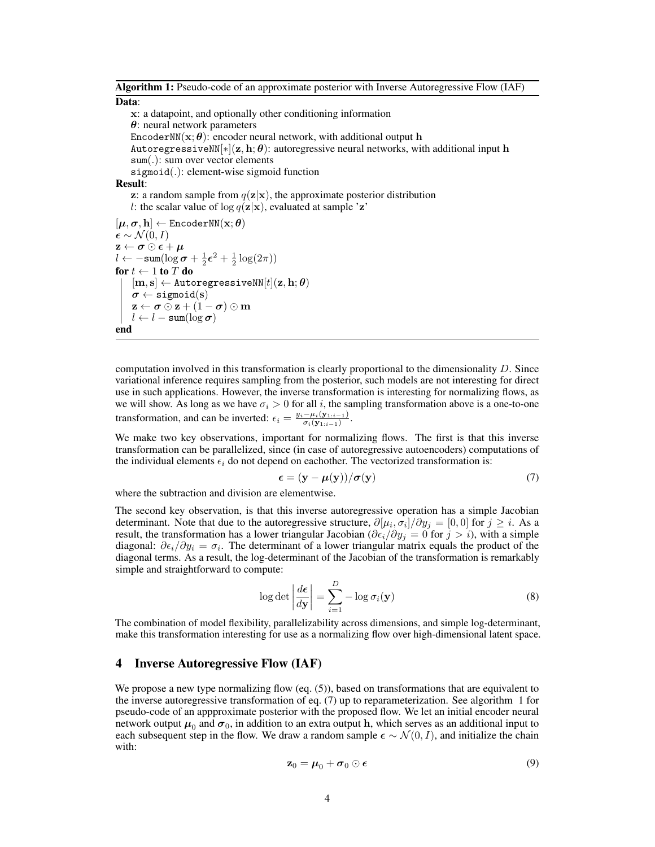Algorithm 1: Pseudo-code of an approximate posterior with Inverse Autoregressive Flow (IAF) Data:

x: a datapoint, and optionally other conditioning information  $\theta$ : neural network parameters EncoderNN( $\mathbf{x}$ ;  $\boldsymbol{\theta}$ ): encoder neural network, with additional output h AutoregressiveNN $[*](z, h; \theta)$ : autoregressive neural networks, with additional input h sum(*.*): sum over vector elements sigmoid(*.*): element-wise sigmoid function Result: z: a random sample from  $q(\mathbf{z}|\mathbf{x})$ , the approximate posterior distribution *l*: the scalar value of  $\log q(\mathbf{z}|\mathbf{x})$ , evaluated at sample 'z'  $[\boldsymbol{\mu}, \boldsymbol{\sigma}, \mathbf{h}] \leftarrow \texttt{EncoderNN}(\mathbf{x}; \boldsymbol{\theta})$  $\boldsymbol{\epsilon} \sim \mathcal{N}(0,I)$  $\mathbf{z} \leftarrow \boldsymbol{\sigma} \odot \boldsymbol{\epsilon} + \boldsymbol{\mu}$  $l \leftarrow -\text{sum}(\log \sigma + \frac{1}{2}\epsilon^2 + \frac{1}{2}\log(2\pi))$ for  $t \leftarrow 1$  to  $T$  do  $[m,s] \leftarrow$  AutoregressiveNN $[t](\mathbf{z}, \mathbf{h}; \boldsymbol{\theta})$  $\boldsymbol{\sigma} \leftarrow \texttt{sigmoid}(\mathbf{s})$  $\mathbf{z} \leftarrow \boldsymbol{\sigma} \odot \mathbf{z} + (1 - \boldsymbol{\sigma}) \odot \mathbf{m}$  $l \leftarrow l - \text{sum}(\log \sigma)$ 

<span id="page-3-1"></span>
$$
\mathbf{end}
$$

computation involved in this transformation is clearly proportional to the dimensionality *D*. Since variational inference requires sampling from the posterior, such models are not interesting for direct use in such applications. However, the inverse transformation is interesting for normalizing flows, as we will show. As long as we have  $\sigma_i > 0$  for all *i*, the sampling transformation above is a one-to-one transformation, and can be inverted:  $\epsilon_i = \frac{y_i - \mu_i(\mathbf{y}_{1:i-1})}{\sigma_i(\mathbf{y}_{1:i-1})}$ .

We make two key observations, important for normalizing flows. The first is that this inverse transformation can be parallelized, since (in case of autoregressive autoencoders) computations of the individual elements  $\epsilon_i$  do not depend on eachother. The vectorized transformation is:

<span id="page-3-0"></span>
$$
\epsilon = (\mathbf{y} - \boldsymbol{\mu}(\mathbf{y})) / \boldsymbol{\sigma}(\mathbf{y})
$$
\n(7)

where the subtraction and division are elementwise.

The second key observation, is that this inverse autoregressive operation has a simple Jacobian determinant. Note that due to the autoregressive structure,  $\partial[\mu_i, \sigma_i]/\partial y_j = [0, 0]$  for  $j \geq i$ . As a result, the transformation has a lower triangular Jacobian ( $\partial \epsilon_i/\partial y_j = 0$  for  $j > i$ ), with a simple diagonal:  $\partial \epsilon_i / \partial y_i = \sigma_i$ . The determinant of a lower triangular matrix equals the product of the diagonal terms. As a result, the log-determinant of the Jacobian of the transformation is remarkably simple and straightforward to compute:

$$
\log \det \left| \frac{d\epsilon}{dy} \right| = \sum_{i=1}^{D} -\log \sigma_i(\mathbf{y})
$$
 (8)

The combination of model flexibility, parallelizability across dimensions, and simple log-determinant, make this transformation interesting for use as a normalizing flow over high-dimensional latent space.

### 4 Inverse Autoregressive Flow (IAF)

We propose a new type normalizing flow (eq.  $(5)$ ), based on transformations that are equivalent to the inverse autoregressive transformation of eq. [\(7\)](#page-3-0) up to reparameterization. See algorithm [1](#page-3-1) for pseudo-code of an appproximate posterior with the proposed flow. We let an initial encoder neural network output  $\mu_0$  and  $\sigma_0$ , in addition to an extra output h, which serves as an additional input to each subsequent step in the flow. We draw a random sample  $\epsilon \sim \mathcal{N}(0, I)$ , and initialize the chain with:

$$
\mathbf{z}_0 = \boldsymbol{\mu}_0 + \boldsymbol{\sigma}_0 \odot \boldsymbol{\epsilon} \tag{9}
$$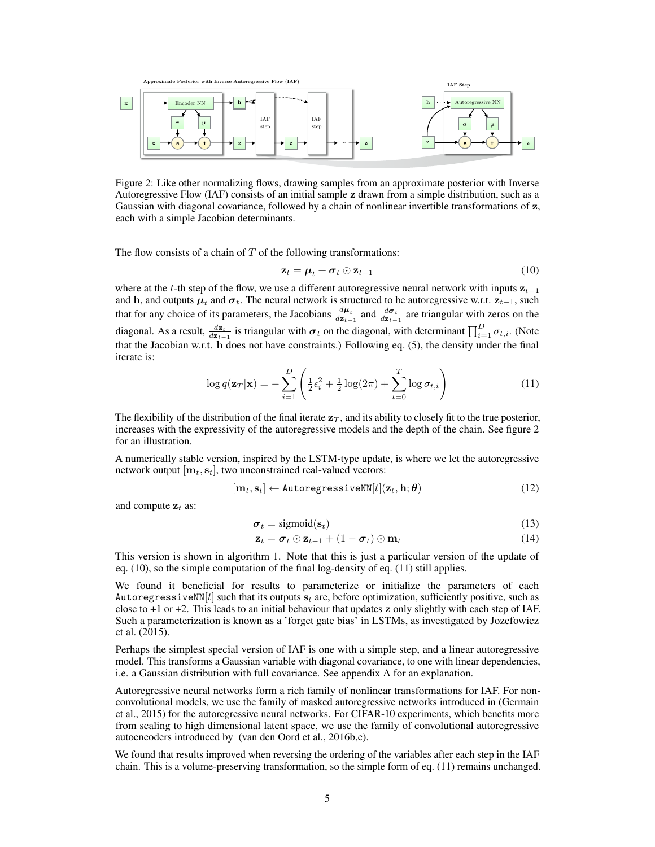<span id="page-4-0"></span>

Autoregressive Flow (IAF) consists of an initial sample z drawn from a simple distribution, such as a each with a simple Jacobian determinants. Figure 2: Like other normalizing flows, drawing samples from an approximate posterior with Inverse Gaussian with diagonal covariance, followed by a chain of nonlinear invertible transformations of z,

Autoregressive NN Encoder NN **h** Autoregressive NN

**σ μ** The flow consists of a chain of *T* of the following transformations: **σ μ**

$$
\mathbf{z}_t = \mathbf{\mu}_t^* + \mathbf{\sigma}_t^* \odot \mathbf{z}_{t-1}^2 \qquad \mathbf{x} \qquad \mathbf{z} \qquad \mathbf{x} \qquad (10)
$$

<span id="page-4-2"></span>zt **-**

<span id="page-4-1"></span>··· **z**

Autoregres

where at the *t*-th step of the flow, we use a different autoregressive neural network with inputs  $z_{t-1}$ that the Jacobian w.r.t. h does not have constraints.) Following eq. [\(5\)](#page-2-1), the density under the final iterate is: diagonal. As a result,  $\frac{d\mathbf{z}_t}{d\mathbf{z}_{t-1}}$  is triangular with  $\boldsymbol{\sigma}_t$  on the diagonal, with determinant  $\prod_{i=1}^D \sigma_{t,i}$ . (Note that for any choice of its parameters, the Jacobians  $\frac{d\mu_t}{dz_{t-1}}$  and  $\frac{d\sigma_t}{dz_{t-1}}$  are triangular with zeros on the and  $\frac{1}{2}$ , and outputs *qu*<sub>i</sub> and  $\sigma_t$ . The neural network is structured to be autoregressive w.r.t.  $z_{t-1}$ , such

$$
\log q(\mathbf{z}_T|\mathbf{x}) = -\sum_{i=1}^D \left( \frac{1}{2} \epsilon_i^2 + \frac{1}{2} \log(2\pi) + \sum_{t=0}^{\text{Encoder}} \frac{1}{2} \log \sigma_{t,i} \right)^{\text{app}} \qquad \sum_{\text{step}}^{\text{step}} \qquad (11) \qquad \sum_{\text{step}}^{\text{p}} \qquad (12)
$$

The flexibility of the distribution of the final iterate  $z_T$ , and its ability to closely fit to the true posterior, increases with the expressivity of the autoregressive models and the depth of the chain. See figure [2](#page-4-0) for an illustration.

A numerically stable version, inspired by the LSTM-type update, is where we let the autoregressive network output  $[\mathbf{m}_t, \mathbf{s}_t]$ , two unconstrained real-valued vectors:

$$
[\mathbf{m}_t, \mathbf{s}_t] \leftarrow \text{AutoregressiveNN}[t](\mathbf{z}_t, \mathbf{h}; \boldsymbol{\theta}) \tag{12}
$$

and compute  $z_t$  as:

Normalizing

z

$$
\boldsymbol{\sigma}_t = \text{sigmoid}(\mathbf{s}_t) \tag{13}
$$

$$
\mathbf{z}_t = \boldsymbol{\sigma}_t \odot \mathbf{z}_{t-1} + (1 - \boldsymbol{\sigma}_t) \odot \mathbf{m}_t \tag{14}
$$

This version is shown in algorithm [1.](#page-3-1) Note that this is just a particular version of the update of eq. [\(10\)](#page-4-1), so the simple computation of the final log-density of eq. [\(11\)](#page-4-2) still applies.

We found it beneficial for results to parameterize or initialize the parameters of each Autoregressive NN $[t]$  such that its outputs  $s_t$  are, before optimization, sufficiently positive, such as close to  $+1$  or  $+2$ . This leads to an initial behaviour that updates z only slightly with each step of IAF. Such a parameterization is known as a 'forget gate bias' in LSTMs, as investigated by [Jozefowicz](#page-8-8) [et al.](#page-8-8) [\(2015\)](#page-8-8).

Perhaps the simplest special version of IAF is one with a simple step, and a linear autoregressive model. This transforms a Gaussian variable with diagonal covariance, to one with linear dependencies, i.e. a Gaussian distribution with full covariance. See appendix [A](#page-0-0) for an explanation.

Autoregressive neural networks form a rich family of nonlinear transformations for IAF. For nonconvolutional models, we use the family of masked autoregressive networks introduced in [\(Germain](#page-8-5) [et al., 2015\)](#page-8-5) for the autoregressive neural networks. For CIFAR-10 experiments, which benefits more from scaling to high dimensional latent space, we use the family of convolutional autoregressive autoencoders introduced by [\(van den Oord et al., 2016b,](#page-8-6)[c\)](#page-8-9).

We found that results improved when reversing the ordering of the variables after each step in the IAF chain. This is a volume-preserving transformation, so the simple form of eq. [\(11\)](#page-4-2) remains unchanged.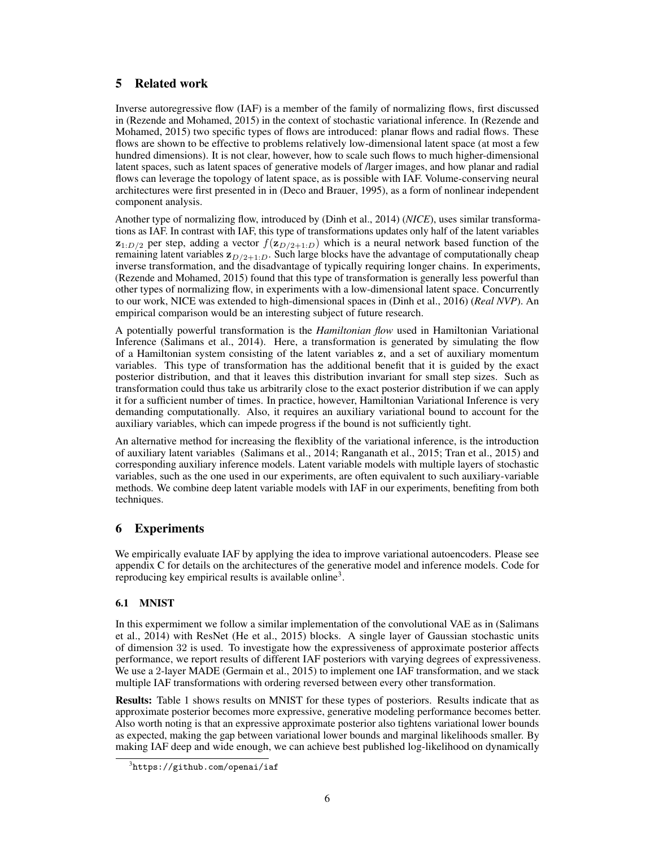# 5 Related work

Inverse autoregressive flow (IAF) is a member of the family of normalizing flows, first discussed in [\(Rezende and Mohamed, 2015\)](#page-8-4) in the context of stochastic variational inference. In [\(Rezende and](#page-8-4) [Mohamed, 2015\)](#page-8-4) two specific types of flows are introduced: planar flows and radial flows. These flows are shown to be effective to problems relatively low-dimensional latent space (at most a few hundred dimensions). It is not clear, however, how to scale such flows to much higher-dimensional latent spaces, such as latent spaces of generative models of /larger images, and how planar and radial flows can leverage the topology of latent space, as is possible with IAF. Volume-conserving neural architectures were first presented in in [\(Deco and Brauer, 1995\)](#page-7-1), as a form of nonlinear independent component analysis.

Another type of normalizing flow, introduced by [\(Dinh et al., 2014\)](#page-7-2) (*NICE*), uses similar transformations as IAF. In contrast with IAF, this type of transformations updates only half of the latent variables  $z_{1:D/2}$  per step, adding a vector  $f(z_{D/2+1:D})$  which is a neural network based function of the remaining latent variables  $z_{D/2+1:D}$ . Such large blocks have the advantage of computationally cheap inverse transformation, and the disadvantage of typically requiring longer chains. In experiments, [\(Rezende and Mohamed, 2015\)](#page-8-4) found that this type of transformation is generally less powerful than other types of normalizing flow, in experiments with a low-dimensional latent space. Concurrently to our work, NICE was extended to high-dimensional spaces in [\(Dinh et al., 2016\)](#page-7-3) (*Real NVP*). An empirical comparison would be an interesting subject of future research.

A potentially powerful transformation is the *Hamiltonian flow* used in Hamiltonian Variational Inference [\(Salimans et al., 2014\)](#page-8-3). Here, a transformation is generated by simulating the flow of a Hamiltonian system consisting of the latent variables z, and a set of auxiliary momentum variables. This type of transformation has the additional benefit that it is guided by the exact posterior distribution, and that it leaves this distribution invariant for small step sizes. Such as transformation could thus take us arbitrarily close to the exact posterior distribution if we can apply it for a sufficient number of times. In practice, however, Hamiltonian Variational Inference is very demanding computationally. Also, it requires an auxiliary variational bound to account for the auxiliary variables, which can impede progress if the bound is not sufficiently tight.

An alternative method for increasing the flexiblity of the variational inference, is the introduction of auxiliary latent variables [\(Salimans et al., 2014;](#page-8-3) [Ranganath et al., 2015;](#page-8-10) [Tran et al., 2015\)](#page-8-11) and corresponding auxiliary inference models. Latent variable models with multiple layers of stochastic variables, such as the one used in our experiments, are often equivalent to such auxiliary-variable methods. We combine deep latent variable models with IAF in our experiments, benefiting from both techniques.

# 6 Experiments

We empirically evaluate IAF by applying the idea to improve variational autoencoders. Please see appendix [C](#page-0-1) for details on the architectures of the generative model and inference models. Code for reproducing key empirical results is available online<sup>3</sup>.

# 6.1 MNIST

In this expermiment we follow a similar implementation of the convolutional VAE as in [\(Salimans](#page-8-3) [et al., 2014\)](#page-8-3) with ResNet [\(He et al., 2015\)](#page-8-12) blocks. A single layer of Gaussian stochastic units of dimension 32 is used. To investigate how the expressiveness of approximate posterior affects performance, we report results of different IAF posteriors with varying degrees of expressiveness. We use a 2-layer MADE [\(Germain et al., 2015\)](#page-8-5) to implement one IAF transformation, and we stack multiple IAF transformations with ordering reversed between every other transformation.

Results: Table [1](#page-6-0) shows results on MNIST for these types of posteriors. Results indicate that as approximate posterior becomes more expressive, generative modeling performance becomes better. Also worth noting is that an expressive approximate posterior also tightens variational lower bounds as expected, making the gap between variational lower bounds and marginal likelihoods smaller. By making IAF deep and wide enough, we can achieve best published log-likelihood on dynamically

<span id="page-5-0"></span> $^3$ <https://github.com/openai/iaf>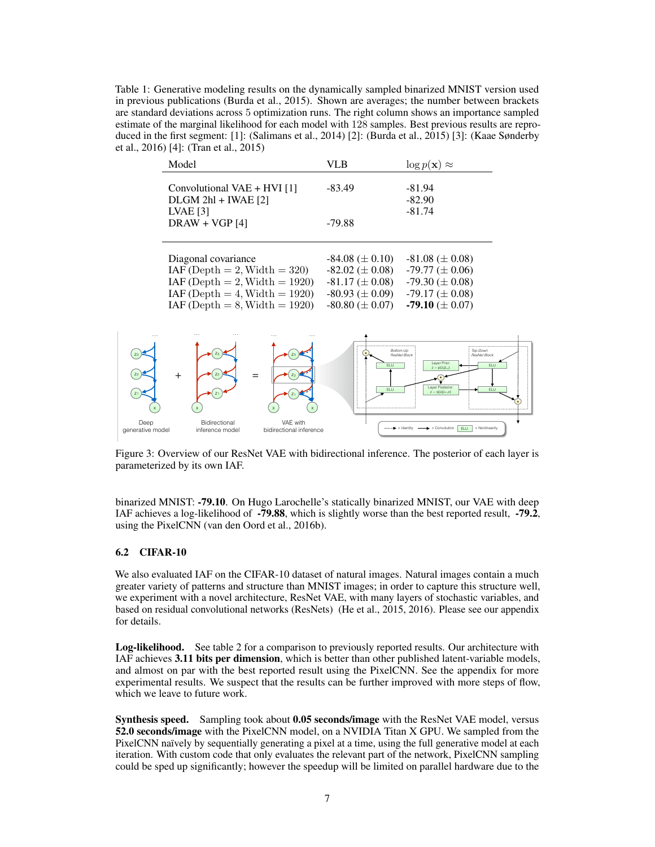<span id="page-6-0"></span>Table 1: Generative modeling results on the dynamically sampled binarized MNIST version used in previous publications [\(Burda et al., 2015\)](#page-7-4). Shown are averages; the number between brackets are standard deviations across 5 optimization runs. The right column shows an importance sampled estimate of the marginal likelihood for each model with 128 samples. Best previous results are reproduced in the first segment: [1]: [\(Salimans et al., 2014\)](#page-8-3) [2]: [\(Burda et al., 2015\)](#page-7-4) [3]: [\(Kaae Sønderby](#page-8-13) [et al., 2016\)](#page-8-13) [4]: [\(Tran et al., 2015\)](#page-8-11)

|                          | Model                                                             |                                     | <b>VLB</b>                                                                                 | $\log p(\mathbf{x}) \approx$                                  |  |
|--------------------------|-------------------------------------------------------------------|-------------------------------------|--------------------------------------------------------------------------------------------|---------------------------------------------------------------|--|
|                          | Convolutional $VAE + HVI[1]$<br>$DLGM$ 2hl + IWAE [2]             |                                     | $-83.49$                                                                                   | -81.94<br>$-82.90$                                            |  |
|                          | LVAE $[3]$<br>$DRAW + VGP [4]$                                    |                                     | $-79.88$                                                                                   | $-81.74$                                                      |  |
|                          | Diagonal covariance                                               |                                     | $-84.08 \ (\pm 0.10)$ $-81.08 \ (\pm 0.08)$                                                |                                                               |  |
|                          | $IAF (Depth = 2, Width = 320)$<br>$IAF (Depth = 2, Width = 1920)$ |                                     | $-82.02 \ (\pm 0.08)$ $-79.77 \ (\pm 0.06)$<br>$-81.17 \ (\pm 0.08)$ $-79.30 \ (\pm 0.08)$ |                                                               |  |
|                          | $IAF (Depth = 4, Width = 1920)$                                   |                                     | $-80.93 \ (\pm 0.09)$ $-79.17 \ (\pm 0.08)$                                                |                                                               |  |
|                          | $IAF (Depth = 8, Width = 1920)$                                   |                                     | $-80.80 \ (\pm 0.07)$                                                                      | $-79.10 \ (\pm 0.07)$                                         |  |
|                          |                                                                   |                                     |                                                                                            |                                                               |  |
| $Z_3$                    |                                                                   |                                     | Bottom-Up                                                                                  | Top-Down<br>ResNet Block<br>ResNet Block<br>Layer Prior:      |  |
|                          | $+$                                                               |                                     | ELU                                                                                        | ELU<br>$z - p(z_i   z_{si})$                                  |  |
| $Z_1$                    |                                                                   | Z <sub>1</sub>                      | ELU                                                                                        | Layer Posterior:<br>ELU<br>$z - q(z z \rightarrow x)$         |  |
| Deep<br>generative model | Bidirectional<br>inference model                                  | VAE with<br>bidirectional inference |                                                                                            | = Nonlinearity<br>$\blacktriangleright$ = Convolution<br>FLU. |  |

Figure 3: Overview of our ResNet VAE with bidirectional inference. The posterior of each layer is parameterized by its own IAF.

binarized MNIST: -79.10. On Hugo Larochelle's statically binarized MNIST, our VAE with deep IAF achieves a log-likelihood of -79.88, which is slightly worse than the best reported result, -79.2, using the PixelCNN [\(van den Oord et al., 2016b\)](#page-8-6).

### 6.2 CIFAR-10

We also evaluated IAF on the CIFAR-10 dataset of natural images. Natural images contain a much greater variety of patterns and structure than MNIST images; in order to capture this structure well, we experiment with a novel architecture, ResNet VAE, with many layers of stochastic variables, and based on residual convolutional networks (ResNets) [\(He et al., 2015,](#page-8-12) [2016\)](#page-8-14). Please see our appendix for details.

Log-likelihood. See table [2](#page-7-5) for a comparison to previously reported results. Our architecture with IAF achieves 3.11 bits per dimension, which is better than other published latent-variable models, and almost on par with the best reported result using the PixelCNN. See the appendix for more experimental results. We suspect that the results can be further improved with more steps of flow, which we leave to future work.

Synthesis speed. Sampling took about 0.05 seconds/image with the ResNet VAE model, versus 52.0 seconds/image with the PixelCNN model, on a NVIDIA Titan X GPU. We sampled from the PixelCNN naïvely by sequentially generating a pixel at a time, using the full generative model at each iteration. With custom code that only evaluates the relevant part of the network, PixelCNN sampling could be sped up significantly; however the speedup will be limited on parallel hardware due to the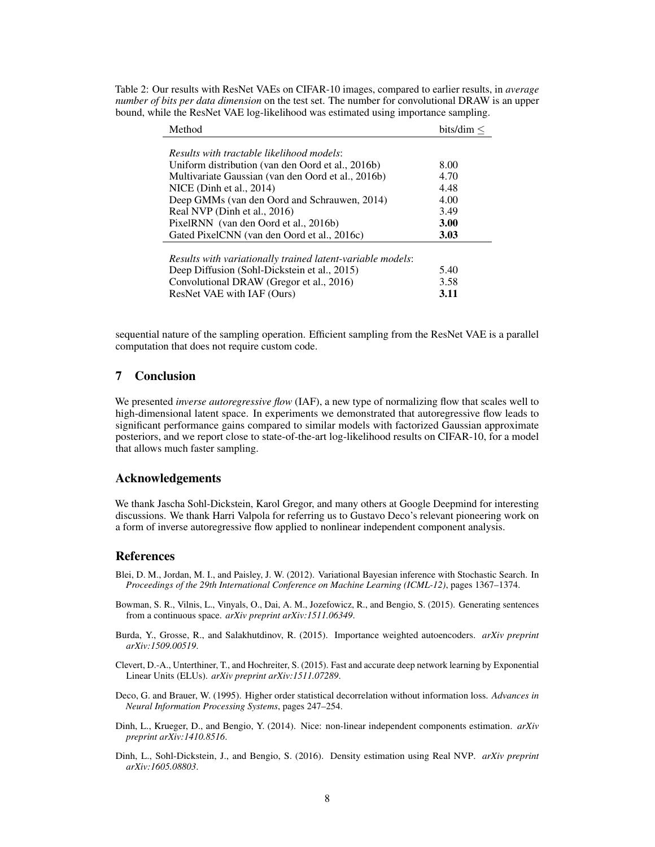| Method                                                     | bits/dim $\leq$ |  |  |  |  |
|------------------------------------------------------------|-----------------|--|--|--|--|
|                                                            |                 |  |  |  |  |
| Results with tractable likelihood models:                  |                 |  |  |  |  |
| Uniform distribution (van den Oord et al., 2016b)          | 8.00            |  |  |  |  |
| Multivariate Gaussian (van den Oord et al., 2016b)         | 4.70            |  |  |  |  |
| NICE (Dinh et al., $2014$ )                                | 4.48            |  |  |  |  |
| Deep GMMs (van den Oord and Schrauwen, 2014)               | 4.00            |  |  |  |  |
| Real NVP (Dinh et al., 2016)                               | 3.49            |  |  |  |  |
| PixelRNN (van den Oord et al., 2016b)                      | <b>3.00</b>     |  |  |  |  |
| Gated PixelCNN (van den Oord et al., 2016c)                | 3.03            |  |  |  |  |
|                                                            |                 |  |  |  |  |
| Results with variationally trained latent-variable models: |                 |  |  |  |  |
| Deep Diffusion (Sohl-Dickstein et al., 2015)               | 5.40            |  |  |  |  |

<span id="page-7-5"></span>Table 2: Our results with ResNet VAEs on CIFAR-10 images, compared to earlier results, in *average number of bits per data dimension* on the test set. The number for convolutional DRAW is an upper bound, while the ResNet VAE log-likelihood was estimated using importance sampling.

| 5.40 |
|------|
| 3.58 |
| 3.11 |
|      |

sequential nature of the sampling operation. Efficient sampling from the ResNet VAE is a parallel computation that does not require custom code.

# 7 Conclusion

We presented *inverse autoregressive flow* (IAF), a new type of normalizing flow that scales well to high-dimensional latent space. In experiments we demonstrated that autoregressive flow leads to significant performance gains compared to similar models with factorized Gaussian approximate posteriors, and we report close to state-of-the-art log-likelihood results on CIFAR-10, for a model that allows much faster sampling.

# Acknowledgements

We thank Jascha Sohl-Dickstein, Karol Gregor, and many others at Google Deepmind for interesting discussions. We thank Harri Valpola for referring us to Gustavo Deco's relevant pioneering work on a form of inverse autoregressive flow applied to nonlinear independent component analysis.

#### References

- <span id="page-7-0"></span>Blei, D. M., Jordan, M. I., and Paisley, J. W. (2012). Variational Bayesian inference with Stochastic Search. In *Proceedings of the 29th International Conference on Machine Learning (ICML-12)*, pages 1367–1374.
- Bowman, S. R., Vilnis, L., Vinyals, O., Dai, A. M., Jozefowicz, R., and Bengio, S. (2015). Generating sentences from a continuous space. *arXiv preprint arXiv:1511.06349*.
- <span id="page-7-4"></span>Burda, Y., Grosse, R., and Salakhutdinov, R. (2015). Importance weighted autoencoders. *arXiv preprint arXiv:1509.00519*.
- Clevert, D.-A., Unterthiner, T., and Hochreiter, S. (2015). Fast and accurate deep network learning by Exponential Linear Units (ELUs). *arXiv preprint arXiv:1511.07289*.
- <span id="page-7-1"></span>Deco, G. and Brauer, W. (1995). Higher order statistical decorrelation without information loss. *Advances in Neural Information Processing Systems*, pages 247–254.
- <span id="page-7-2"></span>Dinh, L., Krueger, D., and Bengio, Y. (2014). Nice: non-linear independent components estimation. *arXiv preprint arXiv:1410.8516*.
- <span id="page-7-3"></span>Dinh, L., Sohl-Dickstein, J., and Bengio, S. (2016). Density estimation using Real NVP. *arXiv preprint arXiv:1605.08803*.